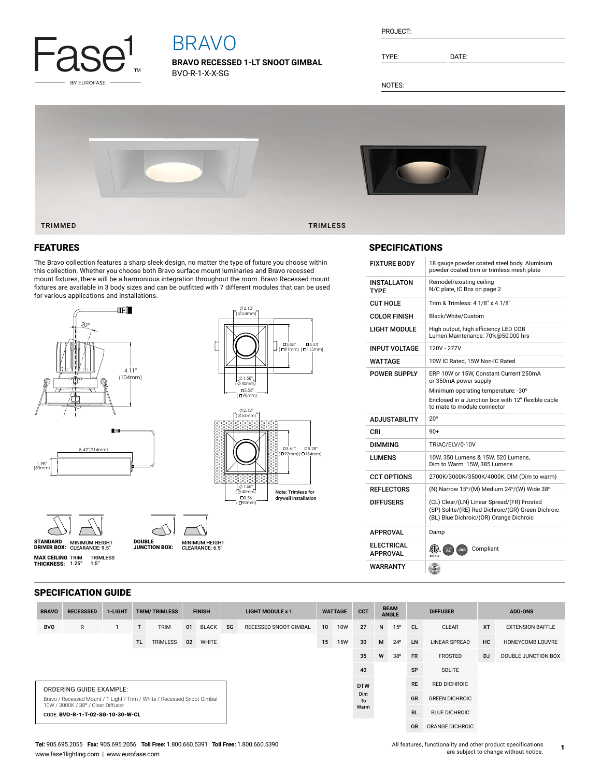

# BRAVO

**BRAVO RECESSED 1-LT SNOOT GIMBAL** BVO-R-1-X-X-SG

| PROJECT: |  |
|----------|--|
|          |  |
|          |  |

TYPE: DATE:

SPECIFICATIONS

NOTES:



### FEATURES

The Bravo collection features a sharp sleek design, no matter the type of fixture you choose within this collection. Whether you choose both Bravo surface mount luminaries and Bravo recessed mount fixtures, there will be a harmonious integration throughout the room. Bravo Recessed mount fixtures are available in 3 body sizes and can be outfitted with 7 different modules that can be used for various applications and installations.

CLEARANCE: 6.5"



MINIMUM HEIGHT CLEARANCE: 9.5" STANDARD DRIVER BOX: MINIMUM HEIGHT

DOUBLE JUNCTION BOX:



2.12"

| <b>FIXTURE BODY</b>           | 18 gauge powder coated steel body. Aluminum<br>powder coated trim or trimless mesh plate                                                   |
|-------------------------------|--------------------------------------------------------------------------------------------------------------------------------------------|
| INSTALLATON<br>TYPF           | Remodel/existing ceiling<br>N/C plate, IC Box on page 2                                                                                    |
| CUT HOLE                      | Trim & Trimless: 4 1/8" x 4 1/8"                                                                                                           |
| <b>COLOR FINISH</b>           | Black/White/Custom                                                                                                                         |
| LIGHT MODULE                  | High output, high efficiency LED COB<br>Lumen Maintenance: 70%@50,000 hrs                                                                  |
| INPUT VOLTAGE                 | 120V - 277V                                                                                                                                |
| WATTAGE                       | 10W IC Rated. 15W Non-IC Rated                                                                                                             |
| POWER SUPPLY                  | ERP 10W or 15W, Constant Current 250mA<br>or 350mA power supply                                                                            |
|                               | Minimum operating temperature: -30°                                                                                                        |
|                               | Enclosed in a Junction box with 12" flexible cable<br>to mate to module connector                                                          |
|                               |                                                                                                                                            |
| ADJUSTABILITY                 | $20^{\circ}$                                                                                                                               |
| CRI                           | $90+$                                                                                                                                      |
| DIMMING                       | TRIAC/ELV/0-10V                                                                                                                            |
| I UMFNS                       | 10W, 350 Lumens & 15W, 520 Lumens,<br>Dim to Warm: 15W, 385 Lumens                                                                         |
| <b>CCT OPTIONS</b>            | 2700K/3000K/3500K/4000K, DIM (Dim to warm)                                                                                                 |
| REFLECTORS                    | (N) Narrow 15°/(M) Medium 24°/(W) Wide 38°                                                                                                 |
| DIFFUSERS                     | (CL) Clear/(LN) Linear Spread/(FR) Frosted<br>(SP) Solite/(RE) Red Dichroic/(GR) Green Dichroic<br>(BL) Blue Dichroic/(OR) Orange Dichroic |
| APPROVAL                      | Damp                                                                                                                                       |
| ELECTRICAL<br><b>APPROVAL</b> | (A)<br>Compliant<br>94<br>JA8                                                                                                              |

**MAX CEILING** TRIM TRIMLESS<br>**THICKNESS:** 1.25" 1.5"

| <b>BRAVO</b>                                                                                                  | <b>RECESSSED</b>                 | 1-LIGHT |     | <b>TRIM/TRIMLESS</b> | <b>FINISH</b> |              | <b>LIGHT MODULE x 1</b> |                       | <b>WATTAGE</b>  |            | <b>CCT</b> | <b>BEAM</b><br><b>ANGLE</b> |              | <b>DIFFUSER</b>       |                      | <b>ADD-ONS</b> |                         |
|---------------------------------------------------------------------------------------------------------------|----------------------------------|---------|-----|----------------------|---------------|--------------|-------------------------|-----------------------|-----------------|------------|------------|-----------------------------|--------------|-----------------------|----------------------|----------------|-------------------------|
| <b>BVO</b>                                                                                                    | $\mathsf{R}$                     |         | T.  | <b>TRIM</b>          | 01            | <b>BLACK</b> | SG                      | RECESSED SNOOT GIMBAL | 10 <sup>1</sup> | <b>10W</b> | 27         | N                           | 15°          | <b>CL</b>             | <b>CLEAR</b>         | <b>XT</b>      | <b>EXTENSION BAFFLE</b> |
|                                                                                                               |                                  |         | TL. | <b>TRIMLESS</b>      | 02            | <b>WHITE</b> |                         |                       | 15              | <b>15W</b> | 30         | M                           | $24^{\circ}$ | <b>LN</b>             | <b>LINEAR SPREAD</b> | <b>HC</b>      | HONEYCOMB LOUVRE        |
|                                                                                                               |                                  |         |     |                      |               |              |                         |                       |                 |            | 35         | W                           | 38°          | <b>FR</b>             | <b>FROSTED</b>       | <b>DJ</b>      | DOUBLE JUNCTION BOX     |
|                                                                                                               |                                  |         |     |                      |               |              |                         |                       |                 |            | 40         |                             |              | SP                    | SOLITE               |                |                         |
| <b>ORDERING GUIDE EXAMPLE:</b>                                                                                |                                  |         |     |                      |               |              |                         |                       |                 |            | <b>DTW</b> |                             |              |                       | <b>RED DICHROIC</b>  |                |                         |
| Bravo / Recessed Mount / 1-Light / Trim / White / Recessed Snoot Gimbal<br>10W / 3000K / 38° / Clear Diffuser |                                  |         |     |                      |               |              |                         | Dim<br>To             |                 |            |            |                             | <b>GR</b>    | <b>GREEN DICHROIC</b> |                      |                |                         |
|                                                                                                               | CODE: BVO-R-1-T-02-SG-10-30-W-CL |         |     |                      |               |              |                         |                       |                 |            | Warm       |                             |              | <b>BL</b>             | <b>BLUE DICHROIC</b> |                |                         |
|                                                                                                               |                                  |         |     |                      |               |              |                         |                       |                 |            |            |                             |              | <b>OR</b>             | ORANGE DICHROIC      |                |                         |

**Tel:** 905.695.2055 **Fax:** 905.695.2056 **Toll Free:** 1.800.660.5391 **Toll Free:** 1.800.660.5390 www.fase1lighting.com | www.eurofase.com

All features, functionality and other product specifications are subject to change without notice.

**1**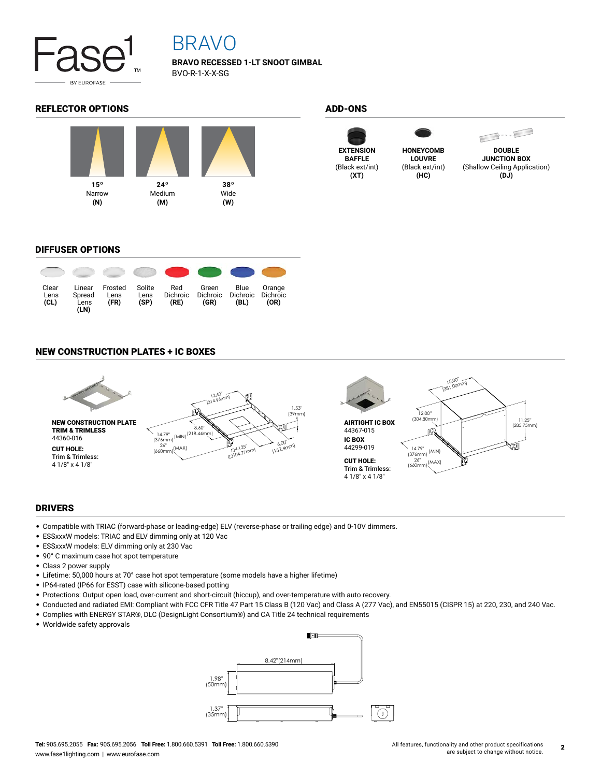

## BRAVO

**BRAVO RECESSED 1-LT SNOOT GIMBAL** BVO-R-1-X-X-SG

### REFLECTOR OPTIONS ADD-ONS









**DOUBLE JUNCTION BOX** (Shallow Ceiling Application) **(DJ)**

### DIFFUSER OPTIONS



### NEW CONSTRUCTION PLATES + IC BOXES



### DRIVERS

- Compatible with TRIAC (forward-phase or leading-edge) ELV (reverse-phase or trailing edge) and 0-10V dimmers.
- ESSxxxW models: TRIAC and ELV dimming only at 120 Vac
- ESSxxxW models: ELV dimming only at 230 Vac
- 90° C maximum case hot spot temperature
- Class 2 power supply
- Lifetime: 50,000 hours at 70° case hot spot temperature (some models have a higher lifetime)
- IP64-rated (IP66 for ESST) case with silicone-based potting
- Protections: Output open load, over-current and short-circuit (hiccup), and over-temperature with auto recovery.
- Conducted and radiated EMI: Compliant with FCC CFR Title 47 Part 15 Class B (120 Vac) and Class A (277 Vac), and EN55015 (CISPR 15) at 220, 230, and 240 Vac.
- Complies with ENERGY STAR®, DLC (DesignLight Consortium®) and CA Title 24 technical requirements
- Worldwide safety approvals